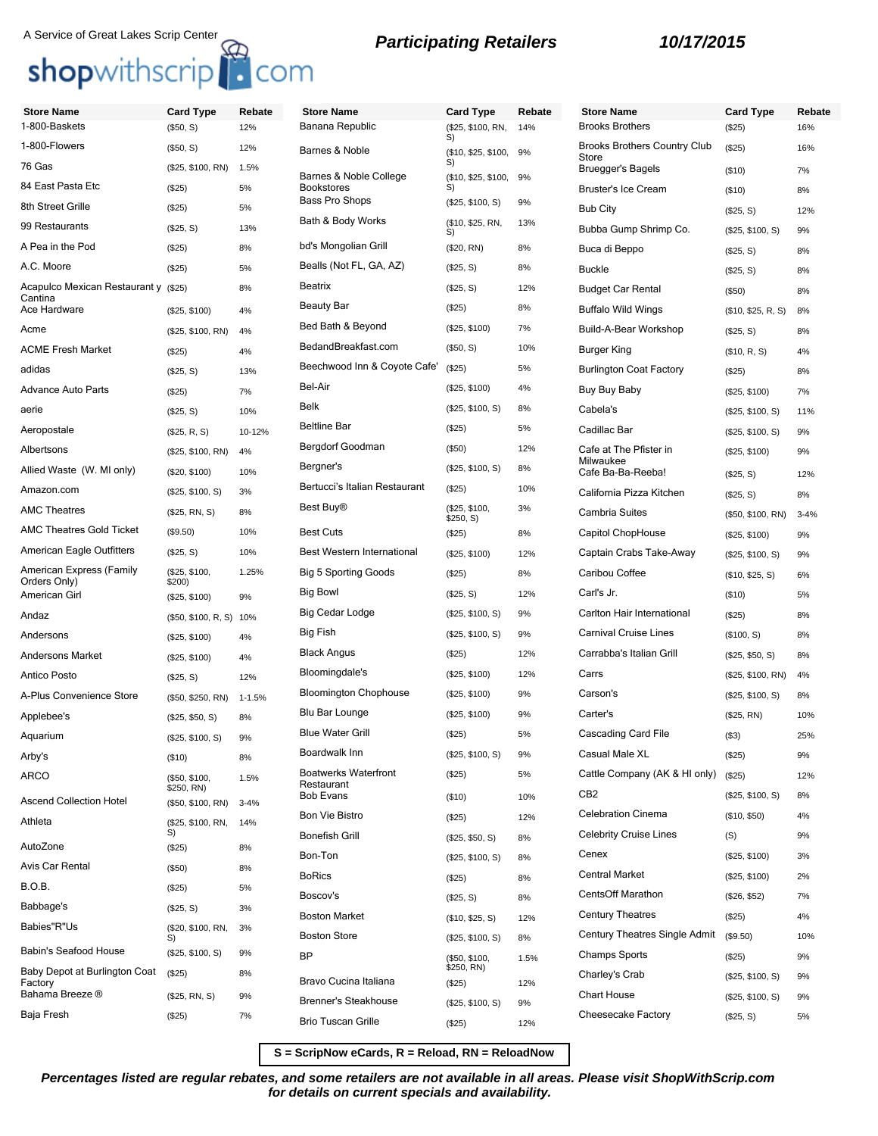| <b>Store Name</b>                               | <b>Card Type</b>                | Rebate     | <b>Store Name</b>                         | Card Type                    | Rebate | <b>Store Name</b>                            | <b>Card Type</b>   | Rebate   |
|-------------------------------------------------|---------------------------------|------------|-------------------------------------------|------------------------------|--------|----------------------------------------------|--------------------|----------|
| 1-800-Baskets                                   | (\$50, S)                       | 12%        | Banana Republic                           | (\$25, \$100, RN,<br>S)      | 14%    | <b>Brooks Brothers</b>                       | (\$25)             | 16%      |
| 1-800-Flowers                                   | (\$50, S)                       | 12%        | Barnes & Noble                            | $($10, $25, $100, 9\%$<br>S) |        | <b>Brooks Brothers Country Club</b><br>Store | (\$25)             | 16%      |
| 76 Gas                                          | (\$25, \$100, RN)               | 1.5%       | Barnes & Noble College                    | (\$10, \$25, \$100,          | 9%     | <b>Bruegger's Bagels</b>                     | (\$10)             | 7%       |
| 84 East Pasta Etc                               | (\$25)                          | 5%         | <b>Bookstores</b><br>Bass Pro Shops       | S)                           |        | Bruster's Ice Cream                          | (\$10)             | 8%       |
| 8th Street Grille                               | (\$25)                          | 5%         |                                           | (\$25, \$100, S)             | 9%     | <b>Bub City</b>                              | (\$25, S)          | 12%      |
| 99 Restaurants                                  | (\$25, S)                       | 13%        | Bath & Body Works                         | (\$10, \$25, RN,<br>S)       | 13%    | Bubba Gump Shrimp Co.                        | (\$25, \$100, S)   | 9%       |
| A Pea in the Pod                                | (\$25)                          | 8%         | bd's Mongolian Grill                      | (\$20, RN)                   | 8%     | Buca di Beppo                                | (\$25, S)          | 8%       |
| A.C. Moore                                      | (\$25)                          | 5%         | Bealls (Not FL, GA, AZ)                   | (\$25, S)                    | 8%     | <b>Buckle</b>                                | (\$25, S)          | 8%       |
| Acapulco Mexican Restaurant y (\$25)<br>Cantina |                                 | 8%         | Beatrix                                   | (\$25, S)                    | 12%    | <b>Budget Car Rental</b>                     | (\$50)             | 8%       |
| Ace Hardware                                    | (\$25, \$100)                   | 4%         | <b>Beauty Bar</b>                         | (\$25)                       | 8%     | <b>Buffalo Wild Wings</b>                    | (\$10, \$25, R, S) | 8%       |
| Acme                                            | (\$25, \$100, RN)               | 4%         | Bed Bath & Beyond                         | (\$25, \$100)                | 7%     | Build-A-Bear Workshop                        | (\$25, S)          | 8%       |
| ACME Fresh Market                               | (\$25)                          | 4%         | BedandBreakfast.com                       | (\$50, S)                    | 10%    | <b>Burger King</b>                           | (\$10, R, S)       | 4%       |
| adidas                                          | (\$25, S)                       | 13%        | Beechwood Inn & Coyote Cafe'              | (\$25)                       | 5%     | <b>Burlington Coat Factory</b>               | (\$25)             | 8%       |
| Advance Auto Parts                              | (\$25)                          | 7%         | Bel-Air                                   | (\$25, \$100)                | 4%     | Buy Buy Baby                                 | (\$25, \$100)      | 7%       |
| aerie                                           | (\$25, S)                       | 10%        | Belk                                      | (\$25, \$100, S)             | 8%     | Cabela's                                     | (\$25, \$100, S)   | 11%      |
| Aeropostale                                     | (\$25, R, S)                    | 10-12%     | <b>Beltline Bar</b>                       | (\$25)                       | 5%     | Cadillac Bar                                 | (\$25, \$100, S)   | 9%       |
| Albertsons                                      | (\$25, \$100, RN)               | 4%         | Bergdorf Goodman                          | $($ \$50)                    | 12%    | Cafe at The Pfister in                       | (\$25, \$100)      | 9%       |
| Allied Waste (W. MI only)                       | (\$20, \$100)                   | 10%        | Bergner's                                 | (\$25, \$100, S)             | 8%     | Milwaukee<br>Cafe Ba-Ba-Reeba!               | (\$25, S)          | 12%      |
| Amazon.com                                      | (\$25, \$100, S)                | 3%         | Bertucci's Italian Restaurant             | (\$25)                       | 10%    | California Pizza Kitchen                     | (\$25, S)          | 8%       |
| <b>AMC Theatres</b>                             | (\$25, RN, S)                   | 8%         | Best Buy <sup>®</sup>                     | (\$25, \$100,<br>\$250, S)   | 3%     | <b>Cambria Suites</b>                        | (\$50, \$100, RN)  | $3 - 4%$ |
| AMC Theatres Gold Ticket                        | (\$9.50)                        | 10%        | <b>Best Cuts</b>                          | (\$25)                       | 8%     | Capitol ChopHouse                            | (\$25, \$100)      | 9%       |
| American Eagle Outfitters                       | (\$25, S)                       | 10%        | <b>Best Western International</b>         | (\$25, \$100)                | 12%    | Captain Crabs Take-Away                      | (\$25, \$100, S)   | 9%       |
| American Express (Family<br>Orders Only)        | (\$25, \$100,<br>\$200)         | 1.25%      | <b>Big 5 Sporting Goods</b>               | (\$25)                       | 8%     | Caribou Coffee                               | (\$10, \$25, S)    | 6%       |
| American Girl                                   | (\$25, \$100)                   | 9%         | <b>Big Bowl</b>                           | (\$25, S)                    | 12%    | Carl's Jr.                                   | $($ \$10)          | 5%       |
| Andaz                                           | (\$50, \$100, R, S) 10%         |            | Big Cedar Lodge                           | (\$25, \$100, S)             | 9%     | Carlton Hair International                   | (\$25)             | 8%       |
| Andersons                                       | (\$25, \$100)                   | 4%         | Big Fish                                  | (\$25, \$100, S)             | 9%     | <b>Carnival Cruise Lines</b>                 | (\$100, S)         | 8%       |
| Andersons Market                                | (\$25, \$100)                   | 4%         | <b>Black Angus</b>                        | (\$25)                       | 12%    | Carrabba's Italian Grill                     | (\$25, \$50, S)    | 8%       |
| Antico Posto                                    | (\$25, S)                       | 12%        | Bloomingdale's                            | (\$25, \$100)                | 12%    | Carrs                                        | (\$25, \$100, RN)  | 4%       |
| A-Plus Convenience Store                        | (\$50, \$250, RN)               | $1 - 1.5%$ | <b>Bloomington Chophouse</b>              | (\$25, \$100)                | 9%     | Carson's                                     | (\$25, \$100, S)   | 8%       |
| Applebee's                                      | (\$25, \$50, S)                 | 8%         | Blu Bar Lounge                            | (\$25, \$100)                | 9%     | Carter's                                     | (\$25, RN)         | 10%      |
| Aquarium                                        | (\$25, \$100, S)                | 9%         | <b>Blue Water Grill</b>                   | (\$25)                       | 5%     | Cascading Card File                          | $($ \$3)           | 25%      |
| Arby's                                          | (\$10)                          | 8%         | Boardwalk Inn                             | (\$25, \$100, S)             | 9%     | Casual Male XL                               | (\$25)             | 9%       |
| ARCO                                            | (\$50, \$100,                   | 1.5%       | <b>Boatwerks Waterfront</b><br>Restaurant | (\$25)                       | 5%     | Cattle Company (AK & HI only)                | (\$25)             | 12%      |
| Ascend Collection Hotel                         | \$250, RN)<br>(\$50, \$100, RN) | $3 - 4%$   | <b>Bob Evans</b>                          | (\$10)                       | 10%    | CB <sub>2</sub>                              | (\$25, \$100, S)   | 8%       |
| Athleta                                         | (\$25, \$100, RN,               | 14%        | <b>Bon Vie Bistro</b>                     | (\$25)                       | 12%    | <b>Celebration Cinema</b>                    | (\$10, \$50)       | 4%       |
|                                                 | S)                              |            | <b>Bonefish Grill</b>                     | (\$25, \$50, S)              | 8%     | <b>Celebrity Cruise Lines</b>                | (S)                | 9%       |
| AutoZone                                        | (\$25)                          | 8%         | Bon-Ton                                   | (\$25, \$100, S)             | 8%     | Cenex                                        | (\$25, \$100)      | 3%       |
| Avis Car Rental                                 | (\$50)                          | 8%         | <b>BoRics</b>                             | (\$25)                       | 8%     | <b>Central Market</b>                        | (\$25, \$100)      | 2%       |
| B.O.B.                                          | (\$25)                          | 5%         | Boscov's                                  | (\$25, S)                    | 8%     | <b>CentsOff Marathon</b>                     | (\$26, \$52)       | 7%       |
| Babbage's                                       | (\$25, S)                       | 3%         | <b>Boston Market</b>                      | (\$10, \$25, S)              | 12%    | <b>Century Theatres</b>                      | (\$25)             | 4%       |
| Babies"R"Us                                     | (\$20, \$100, RN,<br>S)         | 3%         | <b>Boston Store</b>                       | (\$25, \$100, S)             | 8%     | Century Theatres Single Admit                | (\$9.50)           | 10%      |
| Babin's Seafood House                           | (\$25, \$100, S)                | 9%         | <b>BP</b>                                 | (\$50, \$100,                | 1.5%   | <b>Champs Sports</b>                         | (\$25)             | 9%       |
| Baby Depot at Burlington Coat<br>Factory        | (\$25)                          | 8%         | Bravo Cucina Italiana                     | \$250, RN)<br>(\$25)         | 12%    | Charley's Crab                               | (\$25, \$100, S)   | 9%       |
| Bahama Breeze ®                                 | (\$25, RN, S)                   | 9%         | <b>Brenner's Steakhouse</b>               | (\$25, \$100, S)             | 9%     | <b>Chart House</b>                           | (\$25, \$100, S)   | 9%       |
| Baja Fresh                                      | (\$25)                          | 7%         | <b>Brio Tuscan Grille</b>                 | (\$25)                       | 12%    | Cheesecake Factory                           | (\$25, S)          | 5%       |
|                                                 |                                 |            |                                           |                              |        |                                              |                    |          |

**S = ScripNow eCards, R = Reload, RN = ReloadNow**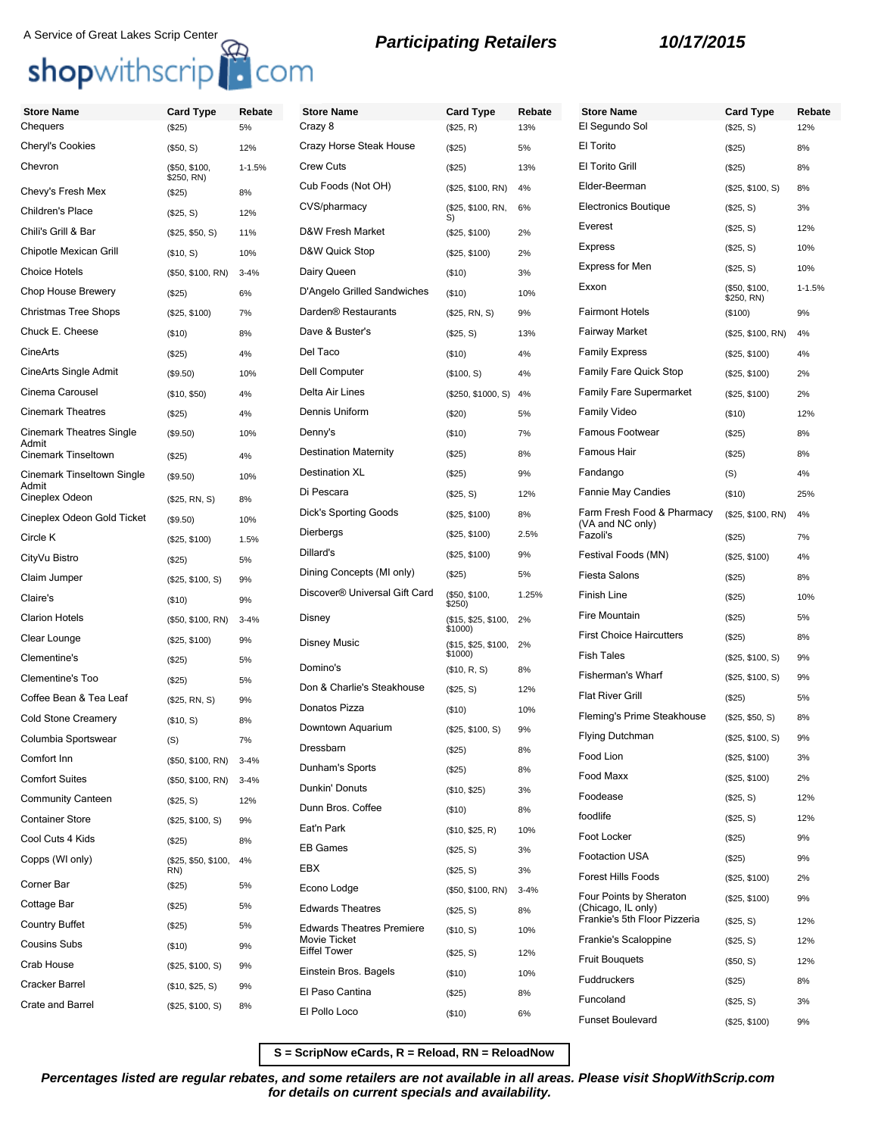| <b>Store Name</b>                   | <b>Card Type</b>           | Rebate     | <b>Store Name</b>                                | <b>Card Type</b>               | Rebate   | <b>Store Name</b>                                  | <b>Card Type</b>           | Rebate     |
|-------------------------------------|----------------------------|------------|--------------------------------------------------|--------------------------------|----------|----------------------------------------------------|----------------------------|------------|
| Chequers                            | (\$25)                     | 5%         | Crazy 8                                          | (\$25, R)                      | 13%      | El Segundo Sol                                     | (\$25, S)                  | 12%        |
| Cheryl's Cookies                    | (\$50, S)                  | 12%        | Crazy Horse Steak House                          | (\$25)                         | 5%       | El Torito                                          | (\$25)                     | 8%         |
| Chevron                             | (\$50, \$100,              | $1 - 1.5%$ | <b>Crew Cuts</b>                                 | (\$25)                         | 13%      | El Torito Grill                                    | (\$25)                     | 8%         |
| Chevy's Fresh Mex                   | \$250, RN)<br>(\$25)       | 8%         | Cub Foods (Not OH)                               | (\$25, \$100, RN)              | 4%       | Elder-Beerman                                      | (\$25, \$100, S)           | 8%         |
| Children's Place                    | (\$25, S)                  | 12%        | CVS/pharmacy                                     | (\$25, \$100, RN,              | 6%       | <b>Electronics Boutique</b>                        | (\$25, S)                  | 3%         |
| Chili's Grill & Bar                 | (\$25, \$50, S)            | 11%        | D&W Fresh Market                                 | S)<br>(\$25, \$100)            | 2%       | Everest                                            | (\$25, S)                  | 12%        |
| Chipotle Mexican Grill              | (\$10, S)                  | 10%        | D&W Quick Stop                                   | (\$25, \$100)                  | 2%       | <b>Express</b>                                     | (\$25, S)                  | 10%        |
| <b>Choice Hotels</b>                | (\$50, \$100, RN)          | $3 - 4%$   | Dairy Queen                                      | (\$10)                         | 3%       | Express for Men                                    | (\$25, S)                  | 10%        |
| Chop House Brewery                  | (\$25)                     | 6%         | D'Angelo Grilled Sandwiches                      | (\$10)                         | 10%      | Exxon                                              | (\$50, \$100,              | $1 - 1.5%$ |
| <b>Christmas Tree Shops</b>         | (\$25, \$100)              | 7%         | Darden <sup>®</sup> Restaurants                  | (\$25, RN, S)                  | 9%       | <b>Fairmont Hotels</b>                             | \$250, RN)<br>(\$100)      | 9%         |
| Chuck E. Cheese                     | (\$10)                     | 8%         | Dave & Buster's                                  | (\$25, S)                      | 13%      | <b>Fairway Market</b>                              | (\$25, \$100, RN)          | 4%         |
| <b>CineArts</b>                     | (\$25)                     | 4%         | Del Taco                                         | (\$10)                         | 4%       | <b>Family Express</b>                              | (\$25, \$100)              | 4%         |
| CineArts Single Admit               | (\$9.50)                   | 10%        | Dell Computer                                    | (\$100, S)                     | 4%       | <b>Family Fare Quick Stop</b>                      | (\$25, \$100)              | 2%         |
| Cinema Carousel                     | (\$10, \$50)               | 4%         | Delta Air Lines                                  | (\$250, \$1000, S)             | 4%       | <b>Family Fare Supermarket</b>                     | (\$25, \$100)              | 2%         |
| <b>Cinemark Theatres</b>            | (\$25)                     | 4%         | Dennis Uniform                                   | (\$20)                         | 5%       | <b>Family Video</b>                                | (\$10)                     | 12%        |
| <b>Cinemark Theatres Single</b>     | (\$9.50)                   | 10%        | Denny's                                          | (\$10)                         | 7%       | Famous Footwear                                    | (\$25)                     | 8%         |
| Admit<br><b>Cinemark Tinseltown</b> | (\$25)                     | 4%         | <b>Destination Maternity</b>                     | (\$25)                         | 8%       | Famous Hair                                        | (\$25)                     | 8%         |
| Cinemark Tinseltown Single          | (\$9.50)                   | 10%        | <b>Destination XL</b>                            | (\$25)                         | 9%       | Fandango                                           | (S)                        | 4%         |
| Admit<br>Cineplex Odeon             |                            |            | Di Pescara                                       | (\$25, S)                      | 12%      | <b>Fannie May Candies</b>                          | (\$10)                     | 25%        |
| Cineplex Odeon Gold Ticket          | (\$25, RN, S)              | 8%<br>10%  | Dick's Sporting Goods                            | (\$25, \$100)                  | 8%       | Farm Fresh Food & Pharmacy                         | (\$25, \$100, RN)          | 4%         |
| Circle K                            | (\$9.50)                   |            | Dierbergs                                        | (\$25, \$100)                  | 2.5%     | (VA and NC only)<br>Fazoli's                       | (\$25)                     | 7%         |
| CityVu Bistro                       | (\$25, \$100)              | 1.5%<br>5% | Dillard's                                        | (\$25, \$100)                  | 9%       | Festival Foods (MN)                                | (\$25, \$100)              | 4%         |
| Claim Jumper                        | (\$25)                     |            | Dining Concepts (MI only)                        | (\$25)                         | 5%       | <b>Fiesta Salons</b>                               | (\$25)                     | 8%         |
| Claire's                            | (\$25, \$100, S)           | 9%<br>9%   | Discover <sup>®</sup> Universal Gift Card        | (\$50, \$100,                  | 1.25%    | Finish Line                                        | (\$25)                     | 10%        |
| <b>Clarion Hotels</b>               | (\$10)                     |            | Disney                                           | \$250)                         |          | Fire Mountain                                      | (\$25)                     | 5%         |
| Clear Lounge                        | (\$50, \$100, RN)          | $3 - 4%$   |                                                  | (\$15, \$25, \$100,<br>\$1000) | 2%       | <b>First Choice Haircutters</b>                    | (\$25)                     | 8%         |
| Clementine's                        | (\$25, \$100)              | 9%         | <b>Disney Music</b>                              | (\$15, \$25, \$100,<br>\$1000) | 2%       | <b>Fish Tales</b>                                  | (\$25, \$100, S)           | 9%         |
| <b>Clementine's Too</b>             | (\$25)                     | 5%         | Domino's                                         | (\$10, R, S)                   | 8%       | <b>Fisherman's Wharf</b>                           | (\$25, \$100, S)           | 9%         |
| Coffee Bean & Tea Leaf              | (\$25)                     | 5%         | Don & Charlie's Steakhouse                       | (\$25, S)                      | 12%      | <b>Flat River Grill</b>                            | (\$25)                     | 5%         |
| <b>Cold Stone Creamery</b>          | (\$25, RN, S)              | 9%         | Donatos Pizza                                    | (\$10)                         | 10%      | Fleming's Prime Steakhouse                         | (\$25, \$50, S)            | 8%         |
| Columbia Sportswear                 | (\$10, S)                  | 8%         | Downtown Aquarium                                | (\$25, \$100, S)               | 9%       | <b>Flying Dutchman</b>                             | (\$25, \$100, S)           | 9%         |
| Comfort Inn                         | (S)                        | 7%         | Dressbarn                                        | (\$25)                         | 8%       | Food Lion                                          | (\$25, \$100)              | 3%         |
| <b>Comfort Suites</b>               | (\$50, \$100, RN)          | $3 - 4%$   | Dunham's Sports                                  | (\$25)                         | 8%       | Food Maxx                                          | (\$25, \$100)              | 2%         |
| <b>Community Canteen</b>            | (\$50, \$100, RN)          | $3 - 4%$   | Dunkin' Donuts                                   | (\$10, \$25)                   | 3%       | Foodease                                           | (\$25, S)                  | 12%        |
| <b>Container Store</b>              | (\$25, S)                  | 12%        | Dunn Bros. Coffee                                | (\$10)                         | 8%       | foodlife                                           | (\$25, S)                  | 12%        |
| Cool Cuts 4 Kids                    | (\$25, \$100, S)           | 9%         | Eat'n Park                                       | (\$10, \$25, R)                | 10%      | Foot Locker                                        | (\$25)                     | 9%         |
| Copps (WI only)                     | (\$25)                     | 8%         | <b>EB Games</b>                                  | (\$25, S)                      | 3%       | Footaction USA                                     | (\$25)                     | 9%         |
|                                     | (\$25, \$50, \$100,<br>RN) | 4%         | EBX                                              | (\$25, S)                      | 3%       | <b>Forest Hills Foods</b>                          | (\$25, \$100)              | 2%         |
| Corner Bar                          | (\$25)                     | 5%         | Econo Lodge                                      | (\$50, \$100, RN)              | $3 - 4%$ | Four Points by Sheraton                            | (\$25, \$100)              | 9%         |
| Cottage Bar                         | (\$25)                     | 5%         | <b>Edwards Theatres</b>                          | (\$25, S)                      | 8%       | (Chicago, IL only)<br>Frankie's 5th Floor Pizzeria |                            |            |
| <b>Country Buffet</b>               | (\$25)                     | 5%         | <b>Edwards Theatres Premiere</b><br>Movie Ticket | (\$10, S)                      | 10%      | Frankie's Scaloppine                               | (\$25, S)                  | 12%        |
| <b>Cousins Subs</b>                 | (\$10)                     | 9%         | <b>Eiffel Tower</b>                              | (\$25, S)                      | 12%      | <b>Fruit Bouquets</b>                              | (\$25, S)                  | 12%        |
| Crab House                          | (\$25, \$100, S)           | 9%         | Einstein Bros. Bagels                            | (\$10)                         | 10%      | Fuddruckers                                        | (\$50, S)                  | 12%        |
| <b>Cracker Barrel</b>               | (\$10, \$25, S)            | 9%         | El Paso Cantina                                  | (\$25)                         | 8%       | Funcoland                                          | (\$25)                     | 8%         |
| <b>Crate and Barrel</b>             | (\$25, \$100, S)           | 8%         | El Pollo Loco                                    | (\$10)                         | 6%       | <b>Funset Boulevard</b>                            | (\$25, S)<br>(\$25, \$100) | 3%<br>9%   |
|                                     |                            |            |                                                  |                                |          |                                                    |                            |            |

**S = ScripNow eCards, R = Reload, RN = ReloadNow**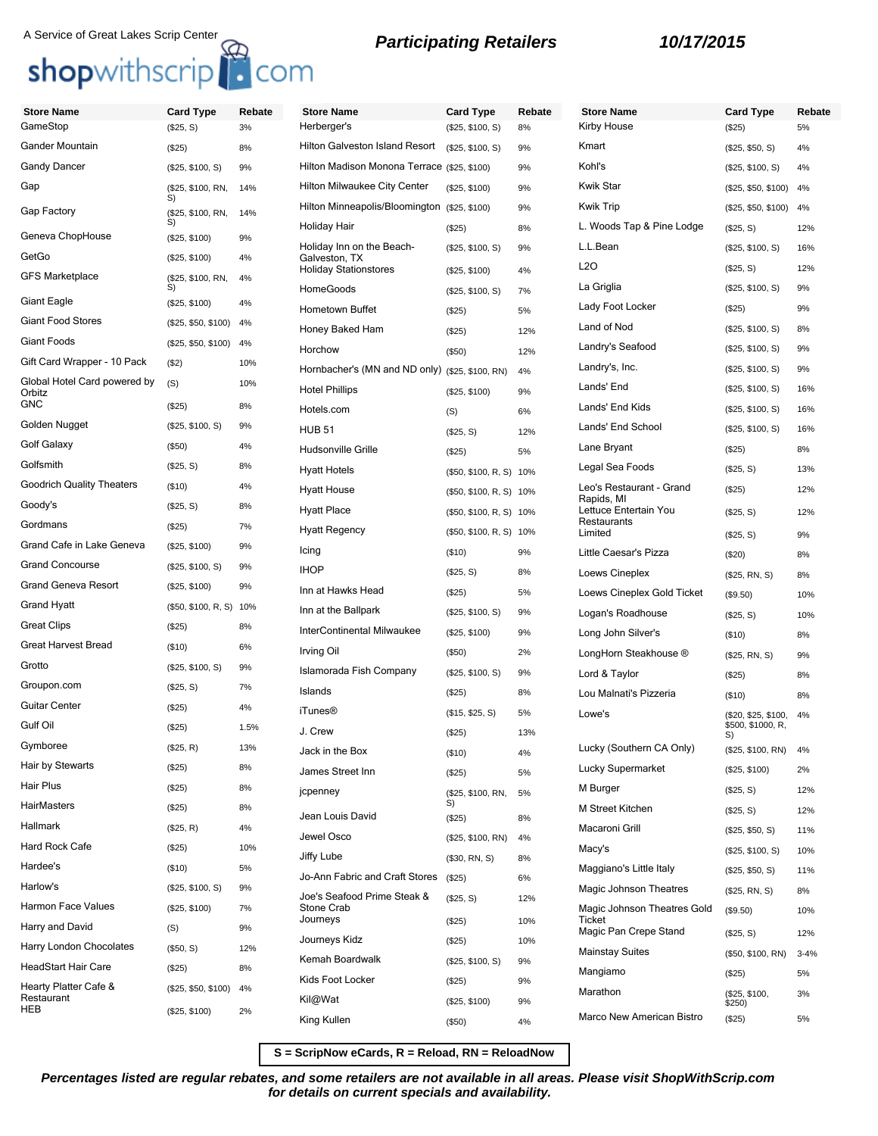# A Service of Great Lakes Scrip Center<br> **Shop**withscrip<br> **COM**

| <b>Store Name</b>                      | <b>Card Type</b>        | Rebate | <b>Store Name</b>                               | <b>Card Type</b>        | Rebate | <b>Store Name</b>                   | <b>Card Type</b>         | Rebate   |
|----------------------------------------|-------------------------|--------|-------------------------------------------------|-------------------------|--------|-------------------------------------|--------------------------|----------|
| GameStop                               | (\$25, S)               | 3%     | Herberger's                                     | (\$25, \$100, S)        | 8%     | Kirby House                         | (\$25)                   | 5%       |
| <b>Gander Mountain</b>                 | (\$25)                  | 8%     | <b>Hilton Galveston Island Resort</b>           | (\$25, \$100, S)        | 9%     | Kmart                               | (\$25, \$50, S)          | 4%       |
| Gandy Dancer                           | (\$25, \$100, S)        | 9%     | Hilton Madison Monona Terrace (\$25, \$100)     |                         | 9%     | Kohl's                              | (\$25, \$100, S)         | 4%       |
| Gap                                    | (\$25, \$100, RN,<br>S) | 14%    | Hilton Milwaukee City Center                    | (\$25, \$100)           | 9%     | <b>Kwik Star</b>                    | $(\$25, \$50, \$100)$ 4% |          |
| Gap Factory                            | (\$25, \$100, RN,       | 14%    | Hilton Minneapolis/Bloomington                  | (\$25, \$100)           | 9%     | <b>Kwik Trip</b>                    | (\$25, \$50, \$100) 4%   |          |
| Geneva ChopHouse                       | S)<br>(\$25, \$100)     | 9%     | Holiday Hair                                    | (\$25)                  | 8%     | L. Woods Tap & Pine Lodge           | (\$25, S)                | 12%      |
| GetGo                                  | (\$25, \$100)           | 4%     | Holiday Inn on the Beach-<br>Galveston, TX      | (\$25, \$100, S)        | 9%     | L.L.Bean                            | (\$25, \$100, S)         | 16%      |
| <b>GFS Marketplace</b>                 | (\$25, \$100, RN,       | 4%     | <b>Holiday Stationstores</b>                    | (\$25, \$100)           | 4%     | L2O                                 | (\$25, S)                | 12%      |
|                                        | S)                      |        | HomeGoods                                       | (\$25, \$100, S)        | 7%     | La Griglia                          | (\$25, \$100, S)         | 9%       |
| <b>Giant Eagle</b>                     | (\$25, \$100)           | 4%     | Hometown Buffet                                 | (\$25)                  | 5%     | Lady Foot Locker                    | (\$25)                   | 9%       |
| <b>Giant Food Stores</b>               | (\$25, \$50, \$100) 4%  |        | Honey Baked Ham                                 | (\$25)                  | 12%    | Land of Nod                         | (\$25, \$100, S)         | 8%       |
| <b>Giant Foods</b>                     | (\$25, \$50, \$100) 4%  |        | Horchow                                         | (\$50)                  | 12%    | Landry's Seafood                    | (\$25, \$100, S)         | 9%       |
| Gift Card Wrapper - 10 Pack            | (\$2)                   | 10%    | Hornbacher's (MN and ND only) (\$25, \$100, RN) |                         | 4%     | Landry's, Inc.                      | (\$25, \$100, S)         | 9%       |
| Global Hotel Card powered by<br>Orbitz | (S)                     | 10%    | <b>Hotel Phillips</b>                           | (\$25, \$100)           | 9%     | Lands' End                          | (\$25, \$100, S)         | 16%      |
| GNC                                    | (\$25)                  | 8%     | Hotels.com                                      | (S)                     | 6%     | Lands' End Kids                     | (\$25, \$100, S)         | 16%      |
| Golden Nugget                          | (\$25, \$100, S)        | 9%     | <b>HUB 51</b>                                   | (\$25, S)               | 12%    | Lands' End School                   | (\$25, \$100, S)         | 16%      |
| Golf Galaxy                            | (\$50)                  | 4%     | <b>Hudsonville Grille</b>                       | (\$25)                  | 5%     | Lane Bryant                         | (\$25)                   | 8%       |
| Golfsmith                              | (\$25, S)               | 8%     | <b>Hyatt Hotels</b>                             | (\$50, \$100, R, S) 10% |        | Legal Sea Foods                     | (\$25, S)                | 13%      |
| <b>Goodrich Quality Theaters</b>       | (\$10)                  | 4%     | <b>Hyatt House</b>                              | (\$50, \$100, R, S) 10% |        | Leo's Restaurant - Grand            | (\$25)                   | 12%      |
| Goody's                                | (\$25, S)               | 8%     | <b>Hyatt Place</b>                              | (\$50, \$100, R, S) 10% |        | Rapids, MI<br>Lettuce Entertain You | (\$25, S)                | 12%      |
| Gordmans                               | (\$25)                  | 7%     | <b>Hyatt Regency</b>                            | (\$50, \$100, R, S) 10% |        | Restaurants<br>Limited              | (\$25, S)                | 9%       |
| Grand Cafe in Lake Geneva              | (\$25, \$100)           | 9%     | Icing                                           | (\$10)                  | 9%     | Little Caesar's Pizza               | (\$20)                   | 8%       |
| <b>Grand Concourse</b>                 | (\$25, \$100, S)        | 9%     | <b>IHOP</b>                                     | (\$25, S)               | 8%     | Loews Cineplex                      | (\$25, RN, S)            | 8%       |
| <b>Grand Geneva Resort</b>             | (\$25, \$100)           | 9%     | Inn at Hawks Head                               | (\$25)                  | 5%     | Loews Cineplex Gold Ticket          | (\$9.50)                 | 10%      |
| <b>Grand Hyatt</b>                     | (\$50, \$100, R, S)     | 10%    | Inn at the Ballpark                             | (\$25, \$100, S)        | 9%     | Logan's Roadhouse                   | (\$25, S)                | 10%      |
| <b>Great Clips</b>                     | (\$25)                  | 8%     | InterContinental Milwaukee                      | (\$25, \$100)           | 9%     | Long John Silver's                  | (\$10)                   | 8%       |
| <b>Great Harvest Bread</b>             | (\$10)                  | 6%     | Irving Oil                                      | (\$50)                  | 2%     | LongHorn Steakhouse ®               | (\$25, RN, S)            | 9%       |
| Grotto                                 | (\$25, \$100, S)        | 9%     | Islamorada Fish Company                         | (\$25, \$100, S)        | 9%     | Lord & Taylor                       | (\$25)                   | 8%       |
| Groupon.com                            | (\$25, S)               | 7%     | Islands                                         | (\$25)                  | 8%     | Lou Malnati's Pizzeria              | (\$10)                   | 8%       |
| <b>Guitar Center</b>                   | (\$25)                  | 4%     | <b>iTunes®</b>                                  | (\$15, \$25, S)         | 5%     | Lowe's                              | (\$20, \$25, \$100,      | 4%       |
| Gulf Oil                               | (\$25)                  | 1.5%   | J. Crew                                         | (\$25)                  | 13%    |                                     | \$500, \$1000, R,<br>S)  |          |
| Gymboree                               | (\$25, R)               | 13%    | Jack in the Box                                 | (\$10)                  | 4%     | Lucky (Southern CA Only)            | (\$25, \$100, RN) 4%     |          |
| Hair by Stewarts                       | (\$25)                  | 8%     | James Street Inn                                | (\$25)                  | 5%     | Lucky Supermarket                   | (\$25, \$100)            | 2%       |
| Hair Plus                              | (\$25)                  | 8%     | jcpenney                                        | (\$25, \$100, RN,       | 5%     | M Burger                            | (\$25, S)                | 12%      |
| HairMasters                            | (\$25)                  | 8%     |                                                 | S)                      |        | M Street Kitchen                    | (\$25, S)                | 12%      |
| Hallmark                               | (\$25, R)               | 4%     | Jean Louis David                                | (\$25)                  | 8%     | Macaroni Grill                      | (\$25, \$50, S)          | 11%      |
| Hard Rock Cafe                         | (\$25)                  | 10%    | Jewel Osco                                      | (\$25, \$100, RN)       | 4%     | Macy's                              | (\$25, \$100, S)         | 10%      |
| Hardee's                               | (\$10)                  | 5%     | Jiffy Lube                                      | (\$30, RN, S)           | 8%     | Maggiano's Little Italy             | (\$25, \$50, S)          | 11%      |
| Harlow's                               | (\$25, \$100, S)        | 9%     | Jo-Ann Fabric and Craft Stores                  | (\$25)                  | 6%     | Magic Johnson Theatres              | (\$25, RN, S)            | 8%       |
| Harmon Face Values                     | (\$25, \$100)           | 7%     | Joe's Seafood Prime Steak &<br>Stone Crab       | (\$25, S)               | 12%    | Magic Johnson Theatres Gold         | (\$9.50)                 | 10%      |
| Harry and David                        | (S)                     | 9%     | Journeys                                        | (\$25)                  | 10%    | Ticket<br>Magic Pan Crepe Stand     | (\$25, S)                | 12%      |
| Harry London Chocolates                | (\$50, S)               | 12%    | Journeys Kidz                                   | (\$25)                  | 10%    | <b>Mainstay Suites</b>              |                          | $3 - 4%$ |
| <b>HeadStart Hair Care</b>             | (\$25)                  | 8%     | Kemah Boardwalk                                 | (\$25, \$100, S)        | 9%     | Mangiamo                            | (\$50, \$100, RN)        |          |
| Hearty Platter Cafe &                  | (\$25, \$50, \$100)     | 4%     | Kids Foot Locker                                | (\$25)                  | 9%     | Marathon                            | (\$25)                   | 5%       |
| Restaurant<br><b>HEB</b>               | (\$25, \$100)           | 2%     | Kil@Wat                                         | (\$25, \$100)           | 9%     |                                     | (\$25, \$100,<br>\$250)  | 3%       |
|                                        |                         |        | King Kullen                                     | (\$50)                  | 4%     | Marco New American Bistro           | (\$25)                   | 5%       |

**S = ScripNow eCards, R = Reload, RN = ReloadNow**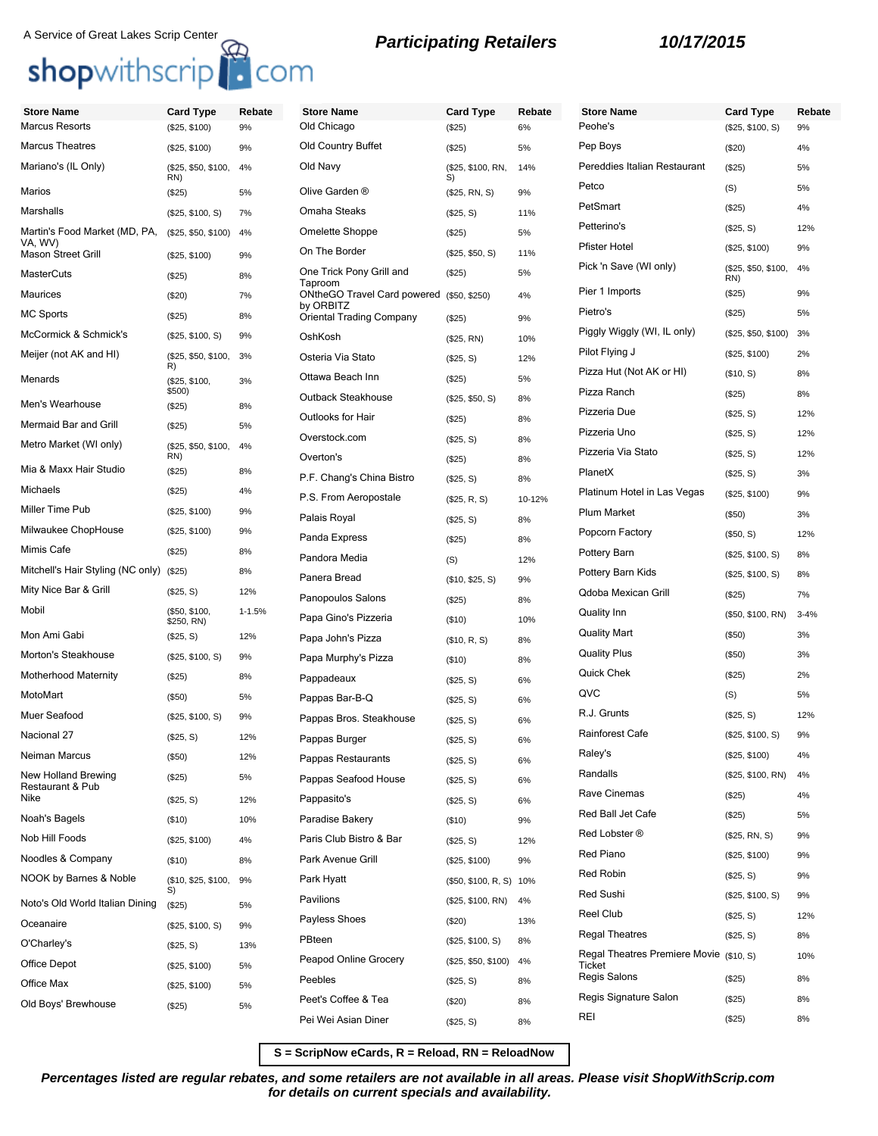### A Service of Great Lakes Scrip Center **Retailers** *Participating Retailers* **10/17/2015**<br>**Shopwithscrip Retailers**

| <b>Store Name</b>                        | <b>Card Type</b>            | Rebate     | <b>Store Name</b>                            | <b>Card Type</b>        | <b>Rebat</b> |
|------------------------------------------|-----------------------------|------------|----------------------------------------------|-------------------------|--------------|
| <b>Marcus Resorts</b>                    | (\$25, \$100)               | 9%         | Old Chicago                                  | (\$25)                  | 6%           |
| <b>Marcus Theatres</b>                   | (\$25, \$100)               | 9%         | Old Country Buffet                           | (\$25)                  | 5%           |
| Mariano's (IL Only)                      | (\$25, \$50, \$100,<br>RN)  | 4%         | Old Navy                                     | (\$25, \$100, RN,<br>S) | 14%          |
| Marios                                   | (\$25)                      | 5%         | Olive Garden ®                               | (\$25, RN, S)           | 9%           |
| Marshalls                                | (\$25, \$100, S)            | 7%         | Omaha Steaks                                 | (\$25, S)               | 11%          |
| Martin's Food Market (MD, PA,<br>VA, WV) | (\$25, \$50, \$100)         | 4%         | Omelette Shoppe                              | (S25)                   | 5%           |
| <b>Mason Street Grill</b>                | (\$25, \$100)               | 9%         | On The Border                                | (\$25, \$50, S)         | 11%          |
| <b>MasterCuts</b>                        | (S25)                       | 8%         | One Trick Pony Grill and<br>Taproom          | (\$25)                  | 5%           |
| Maurices                                 | (\$20)                      | 7%         | ONtheGO Travel Card powered                  | (\$50, \$250)           | 4%           |
| <b>MC Sports</b>                         | (\$25)                      | 8%         | by ORBITZ<br><b>Oriental Trading Company</b> | (\$25)                  | 9%           |
| McCormick & Schmick's                    | (\$25, \$100, S)            | 9%         | OshKosh                                      | (\$25, RN)              | 10%          |
| Meijer (not AK and HI)                   | (\$25, \$50, \$100,<br>R)   | 3%         | Osteria Via Stato                            | (\$25, S)               | 12%          |
| Menards                                  | (\$25, \$100,               | 3%         | Ottawa Beach Inn                             | (S25)                   | 5%           |
| Men's Wearhouse                          | \$500)<br>(\$25)            | 8%         | Outback Steakhouse                           | (\$25, \$50, S)         | 8%           |
| Mermaid Bar and Grill                    | (\$25)                      | 5%         | Outlooks for Hair                            | (\$25)                  | 8%           |
| Metro Market (WI only)                   | (\$25, \$50, \$100,         | 4%         | Overstock.com                                | (\$25, S)               | 8%           |
| Mia & Maxx Hair Studio                   | RN)                         |            | Overton's                                    | (\$25)                  | 8%           |
|                                          | (\$25)                      | 8%         | P.F. Chang's China Bistro                    | (\$25, S)               | 8%           |
| <b>Michaels</b>                          | (S25)                       | 4%         | P.S. From Aeropostale                        | (\$25, R, S)            | 10-12%       |
| Miller Time Pub                          | (\$25, \$100)               | 9%         | Palais Royal                                 | (\$25, S)               | 8%           |
| Milwaukee ChopHouse                      | (\$25, \$100)               | 9%         | Panda Express                                | (\$25)                  | 8%           |
| Mimis Cafe                               | (S25)                       | 8%         | Pandora Media                                | (S)                     | 12%          |
| Mitchell's Hair Styling (NC only)        | (S25)                       | 8%         | Panera Bread                                 | (\$10, \$25, S)         | 9%           |
| Mity Nice Bar & Grill                    | (\$25, S)                   | 12%        | Panopoulos Salons                            | (\$25)                  | 8%           |
| Mobil                                    | (\$50, \$100,<br>\$250, RN) | $1 - 1.5%$ | Papa Gino's Pizzeria                         | $($ \$10)               | 10%          |
| Mon Ami Gabi                             | (\$25, S)                   | 12%        | Papa John's Pizza                            | (\$10, R, S)            | 8%           |
| Morton's Steakhouse                      | (\$25, \$100, S)            | 9%         | Papa Murphy's Pizza                          | (\$10)                  | 8%           |
| <b>Motherhood Maternity</b>              | (\$25)                      | 8%         | Pappadeaux                                   | (\$25, S)               | 6%           |
| MotoMart                                 | $($ \$50)                   | 5%         | Pappas Bar-B-Q                               | (\$25, S)               | 6%           |
| Muer Seafood                             | (\$25, \$100, S)            | 9%         | Pappas Bros. Steakhouse                      | (\$25, S)               | 6%           |
| Nacional 27                              | (\$25, S)                   | 12%        | Pappas Burger                                | (\$25, S)               | 6%           |
| Neiman Marcus                            | (\$50)                      | 12%        | Pappas Restaurants                           | (\$25, S)               | 6%           |
| New Holland Brewing<br>Restaurant & Pub  | (\$25)                      | 5%         | Pappas Seafood House                         | (\$25, S)               | 6%           |
| Nike                                     | (\$25, S)                   | 12%        | Pappasito's                                  | (\$25, S)               | 6%           |
| Noah's Bagels                            | (\$10)                      | 10%        | Paradise Bakery                              | (\$10)                  | 9%           |
| Nob Hill Foods                           | (\$25, \$100)               | 4%         | Paris Club Bistro & Bar                      | (\$25, S)               | 12%          |
| Noodles & Company                        | (\$10)                      | 8%         | Park Avenue Grill                            | (\$25, \$100)           | 9%           |
| NOOK by Barnes & Noble                   | (\$10, \$25, \$100,         | 9%         | Park Hyatt                                   | (\$50, \$100, R, S) 10% |              |
| Noto's Old World Italian Dining          | (\$25)                      | 5%         | Pavilions                                    | (\$25, \$100, RN)       | 4%           |
| Oceanaire                                | (\$25, \$100, S)            | 9%         | Payless Shoes                                | $(\$20)$                | 13%          |
| O'Charley's                              | (\$25, S)                   | 13%        | PBteen                                       | (\$25, \$100, S)        | 8%           |
| Office Depot                             | (\$25, \$100)               | 5%         | Peapod Online Grocery                        | (\$25, \$50, \$100)     | 4%           |

Office Max (\$25, \$100) 5% Old Boys' Brewhouse (\$25) 5%

| <b>Store Name</b>                                   | <b>Card Type</b>        | Rebate | <b>Store Name</b>                       | <b>Card Type</b>           | Rebate   |
|-----------------------------------------------------|-------------------------|--------|-----------------------------------------|----------------------------|----------|
| Old Chicago                                         | (\$25)                  | 6%     | Peohe's                                 | (\$25, \$100, S)           | 9%       |
| Old Country Buffet                                  | (\$25)                  | 5%     | Pep Boys                                | (\$20)                     | 4%       |
| Old Navy                                            | (\$25, \$100, RN,<br>S) | 14%    | Pereddies Italian Restaurant            | (\$25)                     | 5%       |
| Olive Garden ®                                      | (\$25, RN, S)           | 9%     | Petco                                   | (S)                        | 5%       |
| Omaha Steaks                                        | (\$25, S)               | 11%    | PetSmart                                | (\$25)                     | 4%       |
| Omelette Shoppe                                     | (\$25)                  | 5%     | Petterino's                             | (\$25, S)                  | 12%      |
| On The Border                                       | (\$25, \$50, S)         | 11%    | <b>Pfister Hotel</b>                    | (\$25, \$100)              | 9%       |
| One Trick Pony Grill and                            | (\$25)                  | 5%     | Pick 'n Save (WI only)                  | (\$25, \$50, \$100,<br>RN) | 4%       |
| Taproom<br>ONtheGO Travel Card powered<br>by ORBITZ | (\$50, \$250)           | 4%     | Pier 1 Imports                          | (\$25)                     | 9%       |
| Oriental Trading Company                            | (\$25)                  | 9%     | Pietro's                                | (\$25)                     | 5%       |
| OshKosh                                             | (\$25, RN)              | 10%    | Piggly Wiggly (WI, IL only)             | (\$25, \$50, \$100)        | 3%       |
| Osteria Via Stato                                   | (\$25, S)               | 12%    | Pilot Flying J                          | (\$25, \$100)              | 2%       |
| Ottawa Beach Inn                                    | (\$25)                  | 5%     | Pizza Hut (Not AK or HI)                | (\$10, S)                  | 8%       |
| Outback Steakhouse                                  | (\$25, \$50, S)         | 8%     | Pizza Ranch                             | (\$25)                     | 8%       |
| Outlooks for Hair                                   | (\$25)                  | 8%     | Pizzeria Due                            | (\$25, S)                  | 12%      |
| Overstock.com                                       | (\$25, S)               | 8%     | Pizzeria Uno                            | (\$25, S)                  | 12%      |
| Overton's                                           | (\$25)                  | 8%     | Pizzeria Via Stato                      | (\$25, S)                  | 12%      |
| P.F. Chang's China Bistro                           | (\$25, S)               | 8%     | PlanetX                                 | (\$25, S)                  | 3%       |
| P.S. From Aeropostale                               | (\$25, R, S)            | 10-12% | Platinum Hotel in Las Vegas             | (\$25, \$100)              | 9%       |
| Palais Royal                                        | (\$25, S)               | 8%     | <b>Plum Market</b>                      | (\$50)                     | 3%       |
| Panda Express                                       | (\$25)                  | 8%     | Popcorn Factory                         | (\$50, S)                  | 12%      |
| Pandora Media                                       | (S)                     | 12%    | Pottery Barn                            | (\$25, \$100, S)           | 8%       |
| Panera Bread                                        | (\$10, \$25, S)         | 9%     | Pottery Barn Kids                       | (\$25, \$100, S)           | 8%       |
| Panopoulos Salons                                   | (\$25)                  | 8%     | Qdoba Mexican Grill                     | (\$25)                     | 7%       |
| Papa Gino's Pizzeria                                | (\$10)                  | 10%    | Quality Inn                             | (\$50, \$100, RN)          | $3 - 4%$ |
| Papa John's Pizza                                   | (\$10, R, S)            | 8%     | Quality Mart                            | (\$50)                     | 3%       |
| Papa Murphy's Pizza                                 | (\$10)                  | 8%     | <b>Quality Plus</b>                     | (\$50)                     | 3%       |
| Pappadeaux                                          | (\$25, S)               | 6%     | Quick Chek                              | (\$25)                     | 2%       |
| Pappas Bar-B-Q                                      | (\$25, S)               | 6%     | QVC                                     | (S)                        | 5%       |
| Pappas Bros. Steakhouse                             | (\$25, S)               | 6%     | R.J. Grunts                             | (\$25, S)                  | 12%      |
| Pappas Burger                                       | (\$25, S)               | 6%     | Rainforest Cafe                         | (\$25, \$100, S)           | 9%       |
| Pappas Restaurants                                  | (\$25, S)               | 6%     | Raley's                                 | (\$25, \$100)              | 4%       |
| Pappas Seafood House                                | (\$25, S)               | 6%     | Randalls                                | (\$25, \$100, RN)          | 4%       |
| Pappasito's                                         | (\$25, S)               | 6%     | Rave Cinemas                            | (\$25)                     | 4%       |
| Paradise Bakery                                     | (\$10)                  | 9%     | Red Ball Jet Cafe                       | (\$25)                     | 5%       |
| Paris Club Bistro & Bar                             | (\$25, S)               | 12%    | Red Lobster ®                           | (\$25, RN, S)              | 9%       |
| Park Avenue Grill                                   | (\$25, \$100)           | 9%     | Red Piano                               | (\$25, \$100)              | 9%       |
| Park Hyatt                                          | (\$50, \$100, R, S)     | 10%    | Red Robin                               | (\$25, S)                  | 9%       |
| Pavilions                                           | (\$25, \$100, RN)       | 4%     | Red Sushi                               | (\$25, \$100, S)           | 9%       |
| Payless Shoes                                       | (\$20)                  | 13%    | Reel Club                               | (\$25, S)                  | 12%      |
| PBteen                                              | (\$25, \$100, S)        | 8%     | <b>Regal Theatres</b>                   | (\$25, S)                  | 8%       |
| Peapod Online Grocery                               | (\$25, \$50, \$100)     | 4%     | Regal Theatres Premiere Movie (\$10, S) |                            | 10%      |
| Peebles                                             | (\$25, S)               | 8%     | Ticket<br>Regis Salons                  | (\$25)                     | 8%       |
| Peet's Coffee & Tea                                 | (\$20)                  | 8%     | Regis Signature Salon                   | (\$25)                     | 8%       |
| Pei Wei Asian Diner                                 | (\$25, S)               | 8%     | REI                                     | (\$25)                     | 8%       |
|                                                     |                         |        |                                         |                            |          |

**S = ScripNow eCards, R = Reload, RN = ReloadNow**

**Percentages listed are regular rebates, and some retailers are not available in all areas. Please visit ShopWithScrip.com for details on current specials and availability.**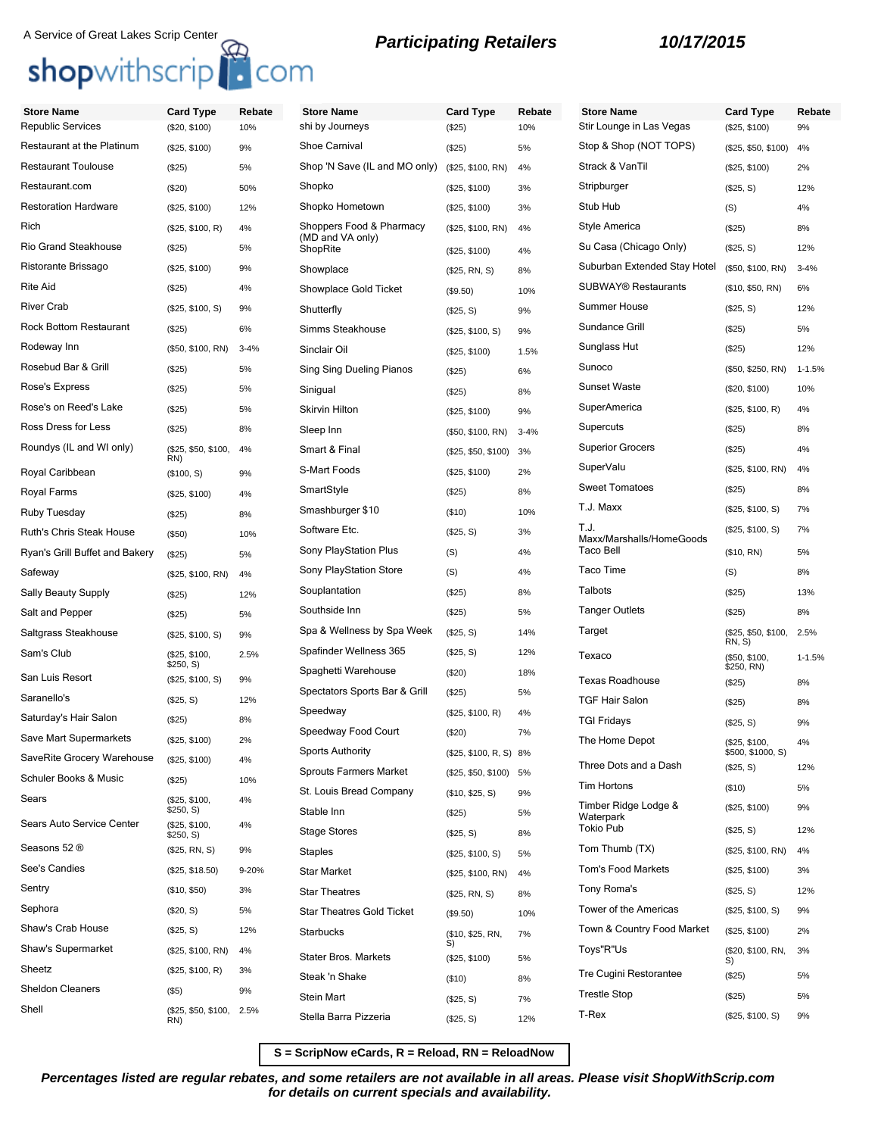| <b>Store Name</b>              | <b>Card Type</b>              | Rebate   | <b>Store Name</b>                | <b>Card Type</b>       | Rebate   | <b>Store Name</b>                        | <b>Card Type</b>             | Rebate     |
|--------------------------------|-------------------------------|----------|----------------------------------|------------------------|----------|------------------------------------------|------------------------------|------------|
| Republic Services              | (\$20, \$100)                 | 10%      | shi by Journeys                  | (\$25)                 | 10%      | Stir Lounge in Las Vegas                 | (\$25, \$100)                | 9%         |
| Restaurant at the Platinum     | (\$25, \$100)                 | 9%       | Shoe Carnival                    | (\$25)                 | 5%       | Stop & Shop (NOT TOPS)                   | (\$25, \$50, \$100)          | 4%         |
| <b>Restaurant Toulouse</b>     | (\$25)                        | 5%       | Shop 'N Save (IL and MO only)    | (\$25, \$100, RN)      | 4%       | Strack & VanTil                          | (\$25, \$100)                | 2%         |
| Restaurant.com                 | (\$20)                        | 50%      | Shopko                           | (\$25, \$100)          | 3%       | Stripburger                              | (\$25, S)                    | 12%        |
| <b>Restoration Hardware</b>    | (\$25, \$100)                 | 12%      | Shopko Hometown                  | (\$25, \$100)          | 3%       | Stub Hub                                 | (S)                          | 4%         |
| Rich                           | (\$25, \$100, R)              | 4%       | Shoppers Food & Pharmacy         | (\$25, \$100, RN)      | 4%       | Style America                            | (\$25)                       | 8%         |
| <b>Rio Grand Steakhouse</b>    | (\$25)                        | 5%       | (MD and VA only)<br>ShopRite     | (\$25, \$100)          | 4%       | Su Casa (Chicago Only)                   | (\$25, S)                    | 12%        |
| Ristorante Brissago            | (\$25, \$100)                 | 9%       | Showplace                        | (\$25, RN, S)          | 8%       | Suburban Extended Stay Hotel             | (\$50, \$100, RN)            | $3 - 4%$   |
| Rite Aid                       | (\$25)                        | 4%       | Showplace Gold Ticket            | (\$9.50)               | 10%      | <b>SUBWAY® Restaurants</b>               | (\$10, \$50, RN)             | 6%         |
| <b>River Crab</b>              | (\$25, \$100, S)              | 9%       | Shutterfly                       | (\$25, S)              | 9%       | <b>Summer House</b>                      | (\$25, S)                    | 12%        |
| <b>Rock Bottom Restaurant</b>  | (\$25)                        | 6%       | Simms Steakhouse                 | (\$25, \$100, S)       | 9%       | Sundance Grill                           | (\$25)                       | 5%         |
| Rodeway Inn                    | (\$50, \$100, RN)             | $3 - 4%$ | Sinclair Oil                     | (\$25, \$100)          | 1.5%     | Sunglass Hut                             | (\$25)                       | 12%        |
| Rosebud Bar & Grill            | (\$25)                        | 5%       | Sing Sing Dueling Pianos         | (\$25)                 | 6%       | Sunoco                                   | (\$50, \$250, RN)            | $1 - 1.5%$ |
| Rose's Express                 | (\$25)                        | 5%       | Sinigual                         | (\$25)                 | 8%       | <b>Sunset Waste</b>                      | (\$20, \$100)                | 10%        |
| Rose's on Reed's Lake          | (\$25)                        | 5%       | <b>Skirvin Hilton</b>            | (\$25, \$100)          | 9%       | SuperAmerica                             | (\$25, \$100, R)             | 4%         |
| Ross Dress for Less            | (\$25)                        | 8%       | Sleep Inn                        | (\$50, \$100, RN)      | $3 - 4%$ | Supercuts                                | (\$25)                       | 8%         |
| Roundys (IL and WI only)       | (\$25, \$50, \$100,           | 4%       | Smart & Final                    | (\$25, \$50, \$100)    | 3%       | <b>Superior Grocers</b>                  | (\$25)                       | 4%         |
| Royal Caribbean                | RN)<br>(\$100, S)             | 9%       | S-Mart Foods                     | (\$25, \$100)          | 2%       | SuperValu                                | (\$25, \$100, RN)            | 4%         |
| Royal Farms                    | (\$25, \$100)                 | 4%       | SmartStyle                       | (\$25)                 | 8%       | <b>Sweet Tomatoes</b>                    | (\$25)                       | 8%         |
| Ruby Tuesday                   | (\$25)                        | 8%       | Smashburger \$10                 | (\$10)                 | 10%      | T.J. Maxx                                | (\$25, \$100, S)             | 7%         |
| Ruth's Chris Steak House       | (\$50)                        | 10%      | Software Etc.                    | (\$25, S)              | 3%       | T.J.<br>Maxx/Marshalls/HomeGoods         | (\$25, \$100, S)             | 7%         |
| Ryan's Grill Buffet and Bakery | (\$25)                        | 5%       | Sony PlayStation Plus            | (S)                    | 4%       | <b>Taco Bell</b>                         | (\$10, RN)                   | 5%         |
| Safeway                        | (\$25, \$100, RN)             | 4%       | Sony PlayStation Store           | (S)                    | 4%       | Taco Time                                | (S)                          | 8%         |
| Sally Beauty Supply            | (\$25)                        | 12%      | Souplantation                    | (\$25)                 | 8%       | Talbots                                  | (\$25)                       | 13%        |
| Salt and Pepper                | (\$25)                        | 5%       | Southside Inn                    | (\$25)                 | 5%       | <b>Tanger Outlets</b>                    | (\$25)                       | 8%         |
| Saltgrass Steakhouse           | (\$25, \$100, S)              | 9%       | Spa & Wellness by Spa Week       | (\$25, S)              | 14%      | Target                                   | (\$25, \$50, \$100,<br>RN, S | 2.5%       |
| Sam's Club                     | (\$25, \$100,                 | 2.5%     | Spafinder Wellness 365           | (\$25, S)              | 12%      | Texaco                                   | (\$50, \$100,                | $1 - 1.5%$ |
| San Luis Resort                | \$250, S)<br>(\$25, \$100, S) | 9%       | Spaghetti Warehouse              | (\$20)                 | 18%      | <b>Texas Roadhouse</b>                   | \$250, RN)<br>(\$25)         | 8%         |
| Saranello's                    | (\$25, S)                     | 12%      | Spectators Sports Bar & Grill    | (\$25)                 | 5%       | <b>TGF Hair Salon</b>                    | (\$25)                       | 8%         |
| Saturday's Hair Salon          | (\$25)                        | 8%       | Speedway                         | (\$25, \$100, R)       | 4%       | <b>TGI Fridays</b>                       | (\$25, S)                    | 9%         |
| Save Mart Supermarkets         | (\$25, \$100)                 | 2%       | Speedway Food Court              | (\$20)                 | 7%       | The Home Depot                           | (\$25, \$100,                | 4%         |
| SaveRite Grocery Warehouse     | (\$25, \$100)                 | 4%       | <b>Sports Authority</b>          | (\$25, \$100, R, S) 8% |          |                                          | \$500, \$1000, S)            |            |
| Schuler Books & Music          | (\$25)                        | 10%      | <b>Sprouts Farmers Market</b>    | (\$25, \$50, \$100) 5% |          | Three Dots and a Dash                    | (\$25, S)                    | 12%        |
| Sears                          | (\$25, \$100,                 | 4%       | St. Louis Bread Company          | (\$10, \$25, S)        | 9%       | <b>Tim Hortons</b>                       | (\$10)                       | 5%         |
| Sears Auto Service Center      | \$250, S)<br>(\$25, \$100,    | 4%       | Stable Inn                       | (\$25)                 | 5%       | Timber Ridge Lodge &<br>Waterpark        | (\$25, \$100)                | 9%         |
|                                | \$250, S)                     |          | <b>Stage Stores</b>              | (\$25, S)              | 8%       | <b>Tokio Pub</b>                         | (\$25, S)                    | 12%        |
| Seasons 52 ®                   | (\$25, RN, S)                 | 9%       | Staples                          | (\$25, \$100, S)       | 5%       | Tom Thumb (TX)                           | (\$25, \$100, RN)            | 4%         |
| See's Candies                  | (\$25, \$18.50)               | 9-20%    | <b>Star Market</b>               | (\$25, \$100, RN)      | 4%       | <b>Tom's Food Markets</b><br>Tony Roma's | (\$25, \$100)                | 3%         |
| Sentry                         | (\$10, \$50)                  | 3%       | <b>Star Theatres</b>             | (\$25, RN, S)          | 8%       |                                          | (\$25, S)                    | 12%        |
| Sephora                        | (\$20, S)                     | 5%       | <b>Star Theatres Gold Ticket</b> | (\$9.50)               | 10%      | Tower of the Americas                    | (\$25, \$100, S)             | 9%         |
| Shaw's Crab House              | (\$25, S)                     | 12%      | Starbucks                        | (\$10, \$25, RN,<br>S) | 7%       | Town & Country Food Market               | (\$25, \$100)                | 2%         |
| Shaw's Supermarket             | (\$25, \$100, RN)             | 4%       | Stater Bros. Markets             | (\$25, \$100)          | 5%       | Toys"R"Us                                | (\$20, \$100, RN,<br>S)      | 3%         |
| Sheetz                         | (\$25, \$100, R)              | 3%       | Steak 'n Shake                   | (\$10)                 | 8%       | Tre Cugini Restorantee                   | (\$25)                       | 5%         |
| <b>Sheldon Cleaners</b>        | $($ \$5)                      | 9%       | <b>Stein Mart</b>                | (\$25, S)              | 7%       | <b>Trestle Stop</b>                      | (\$25)                       | 5%         |
| Shell                          | (\$25, \$50, \$100,<br>RN)    | 2.5%     | Stella Barra Pizzeria            | (\$25, S)              | 12%      | T-Rex                                    | (\$25, \$100, S)             | 9%         |
|                                |                               |          |                                  |                        |          |                                          |                              |            |

**S = ScripNow eCards, R = Reload, RN = ReloadNow**